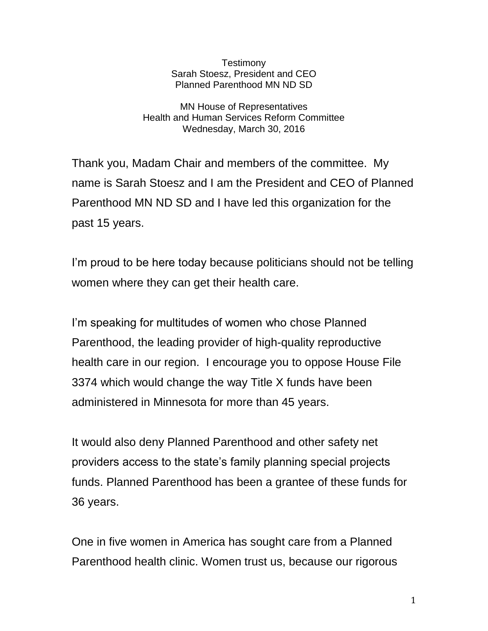**Testimony** Sarah Stoesz, President and CEO Planned Parenthood MN ND SD

MN House of Representatives Health and Human Services Reform Committee Wednesday, March 30, 2016

Thank you, Madam Chair and members of the committee. My name is Sarah Stoesz and I am the President and CEO of Planned Parenthood MN ND SD and I have led this organization for the past 15 years.

I'm proud to be here today because politicians should not be telling women where they can get their health care.

I'm speaking for multitudes of women who chose Planned Parenthood, the leading provider of high-quality reproductive health care in our region. I encourage you to oppose House File 3374 which would change the way Title X funds have been administered in Minnesota for more than 45 years.

It would also deny Planned Parenthood and other safety net providers access to the state's family planning special projects funds. Planned Parenthood has been a grantee of these funds for 36 years.

One in five women in America has sought care from a Planned Parenthood health clinic. Women trust us, because our rigorous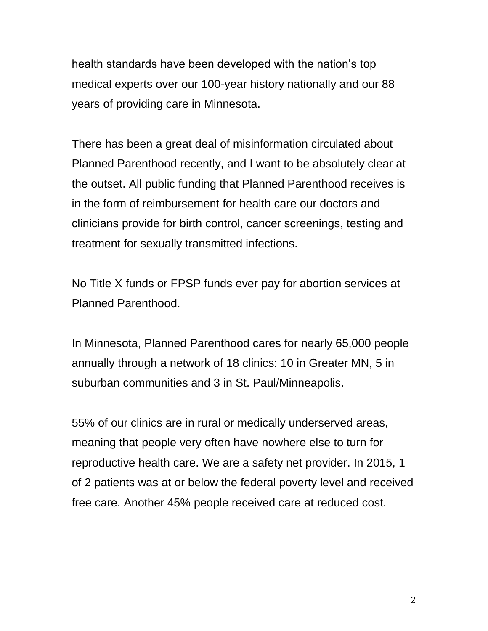health standards have been developed with the nation's top medical experts over our 100-year history nationally and our 88 years of providing care in Minnesota.

There has been a great deal of misinformation circulated about Planned Parenthood recently, and I want to be absolutely clear at the outset. All public funding that Planned Parenthood receives is in the form of reimbursement for health care our doctors and clinicians provide for birth control, cancer screenings, testing and treatment for sexually transmitted infections.

No Title X funds or FPSP funds ever pay for abortion services at Planned Parenthood.

In Minnesota, Planned Parenthood cares for nearly 65,000 people annually through a network of 18 clinics: 10 in Greater MN, 5 in suburban communities and 3 in St. Paul/Minneapolis.

55% of our clinics are in rural or medically underserved areas, meaning that people very often have nowhere else to turn for reproductive health care. We are a safety net provider. In 2015, 1 of 2 patients was at or below the federal poverty level and received free care. Another 45% people received care at reduced cost.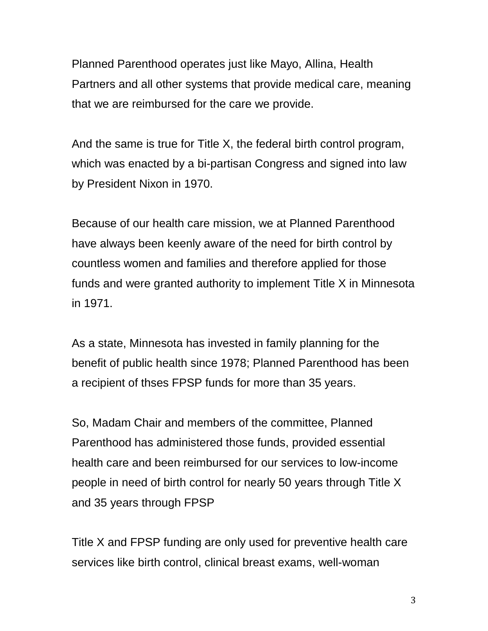Planned Parenthood operates just like Mayo, Allina, Health Partners and all other systems that provide medical care, meaning that we are reimbursed for the care we provide.

And the same is true for Title X, the federal birth control program, which was enacted by a bi-partisan Congress and signed into law by President Nixon in 1970.

Because of our health care mission, we at Planned Parenthood have always been keenly aware of the need for birth control by countless women and families and therefore applied for those funds and were granted authority to implement Title X in Minnesota in 1971.

As a state, Minnesota has invested in family planning for the benefit of public health since 1978; Planned Parenthood has been a recipient of thses FPSP funds for more than 35 years.

So, Madam Chair and members of the committee, Planned Parenthood has administered those funds, provided essential health care and been reimbursed for our services to low-income people in need of birth control for nearly 50 years through Title X and 35 years through FPSP

Title X and FPSP funding are only used for preventive health care services like birth control, clinical breast exams, well-woman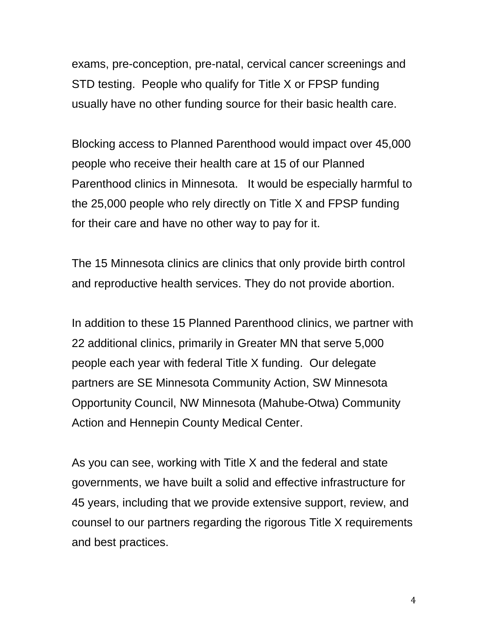exams, pre-conception, pre-natal, cervical cancer screenings and STD testing. People who qualify for Title X or FPSP funding usually have no other funding source for their basic health care.

Blocking access to Planned Parenthood would impact over 45,000 people who receive their health care at 15 of our Planned Parenthood clinics in Minnesota. It would be especially harmful to the 25,000 people who rely directly on Title X and FPSP funding for their care and have no other way to pay for it.

The 15 Minnesota clinics are clinics that only provide birth control and reproductive health services. They do not provide abortion.

In addition to these 15 Planned Parenthood clinics, we partner with 22 additional clinics, primarily in Greater MN that serve 5,000 people each year with federal Title X funding. Our delegate partners are SE Minnesota Community Action, SW Minnesota Opportunity Council, NW Minnesota (Mahube-Otwa) Community Action and Hennepin County Medical Center.

As you can see, working with Title X and the federal and state governments, we have built a solid and effective infrastructure for 45 years, including that we provide extensive support, review, and counsel to our partners regarding the rigorous Title X requirements and best practices.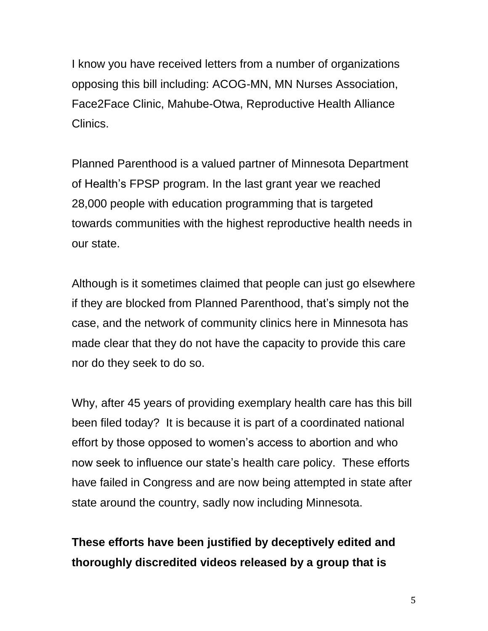I know you have received letters from a number of organizations opposing this bill including: ACOG-MN, MN Nurses Association, Face2Face Clinic, Mahube-Otwa, Reproductive Health Alliance Clinics.

Planned Parenthood is a valued partner of Minnesota Department of Health's FPSP program. In the last grant year we reached 28,000 people with education programming that is targeted towards communities with the highest reproductive health needs in our state.

Although is it sometimes claimed that people can just go elsewhere if they are blocked from Planned Parenthood, that's simply not the case, and the network of community clinics here in Minnesota has made clear that they do not have the capacity to provide this care nor do they seek to do so.

Why, after 45 years of providing exemplary health care has this bill been filed today? It is because it is part of a coordinated national effort by those opposed to women's access to abortion and who now seek to influence our state's health care policy. These efforts have failed in Congress and are now being attempted in state after state around the country, sadly now including Minnesota.

## **These efforts have been justified by deceptively edited and thoroughly discredited videos released by a group that is**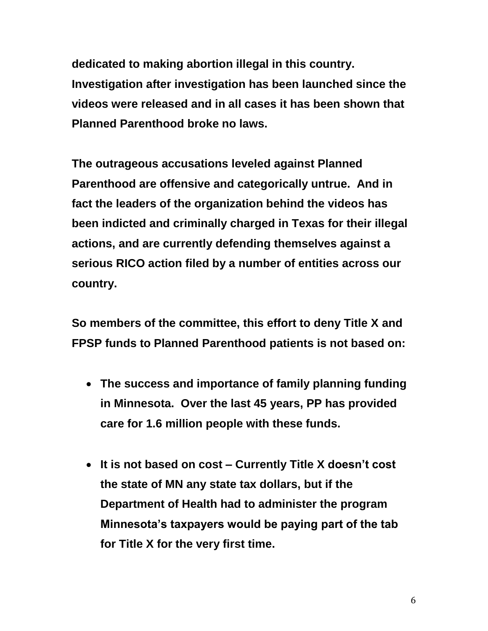**dedicated to making abortion illegal in this country. Investigation after investigation has been launched since the videos were released and in all cases it has been shown that Planned Parenthood broke no laws.**

**The outrageous accusations leveled against Planned Parenthood are offensive and categorically untrue. And in fact the leaders of the organization behind the videos has been indicted and criminally charged in Texas for their illegal actions, and are currently defending themselves against a serious RICO action filed by a number of entities across our country.**

**So members of the committee, this effort to deny Title X and FPSP funds to Planned Parenthood patients is not based on:**

- **The success and importance of family planning funding in Minnesota. Over the last 45 years, PP has provided care for 1.6 million people with these funds.**
- **It is not based on cost – Currently Title X doesn't cost the state of MN any state tax dollars, but if the Department of Health had to administer the program Minnesota's taxpayers would be paying part of the tab for Title X for the very first time.**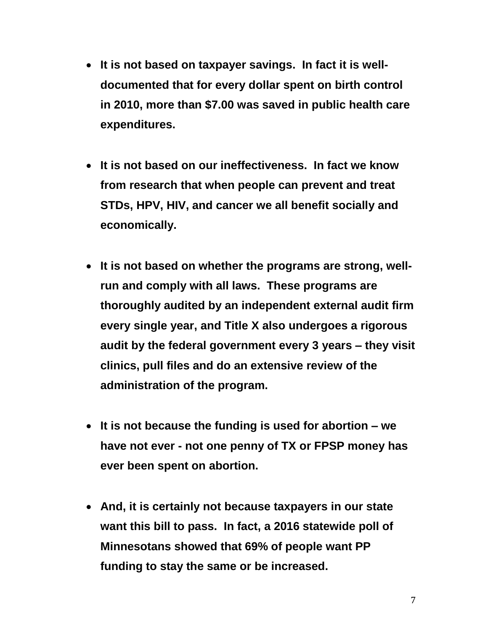- **It is not based on taxpayer savings. In fact it is welldocumented that for every dollar spent on birth control in 2010, more than \$7.00 was saved in public health care expenditures.**
- **It is not based on our ineffectiveness. In fact we know from research that when people can prevent and treat STDs, HPV, HIV, and cancer we all benefit socially and economically.**
- **It is not based on whether the programs are strong, wellrun and comply with all laws. These programs are thoroughly audited by an independent external audit firm every single year, and Title X also undergoes a rigorous audit by the federal government every 3 years – they visit clinics, pull files and do an extensive review of the administration of the program.**
- **It is not because the funding is used for abortion – we have not ever - not one penny of TX or FPSP money has ever been spent on abortion.**
- **And, it is certainly not because taxpayers in our state want this bill to pass. In fact, a 2016 statewide poll of Minnesotans showed that 69% of people want PP funding to stay the same or be increased.**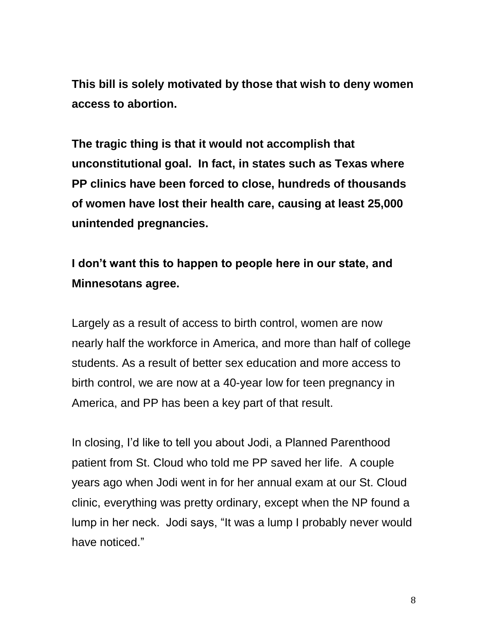**This bill is solely motivated by those that wish to deny women access to abortion.**

**The tragic thing is that it would not accomplish that unconstitutional goal. In fact, in states such as Texas where PP clinics have been forced to close, hundreds of thousands of women have lost their health care, causing at least 25,000 unintended pregnancies.**

## **I don't want this to happen to people here in our state, and Minnesotans agree.**

Largely as a result of access to birth control, women are now nearly half the workforce in America, and more than half of college students. As a result of better sex education and more access to birth control, we are now at a 40-year low for teen pregnancy in America, and PP has been a key part of that result.

In closing, I'd like to tell you about Jodi, a Planned Parenthood patient from St. Cloud who told me PP saved her life. A couple years ago when Jodi went in for her annual exam at our St. Cloud clinic, everything was pretty ordinary, except when the NP found a lump in her neck. Jodi says, "It was a lump I probably never would have noticed."